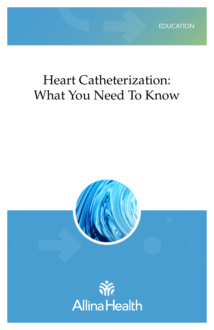

# Heart Catheterization: What You Need To Know

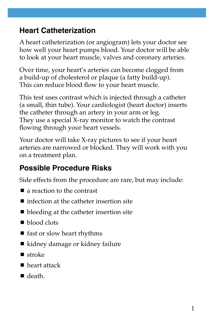### **Heart Catheterization**

A heart catheterization (or angiogram) lets your doctor see how well your heart pumps blood. Your doctor will be able to look at your heart muscle, valves and coronary arteries.

Over time, your heart's arteries can become clogged from a build-up of cholesterol or plaque (a fatty build-up). This can reduce blood flow to your heart muscle.

This test uses contrast which is injected through a catheter (a small, thin tube). Your cardiologist (heart doctor) inserts the catheter through an artery in your arm or leg. They use a special X-ray monitor to watch the contrast flowing through your heart vessels.

Your doctor will take X-ray pictures to see if your heart arteries are narrowed or blocked. They will work with you on a treatment plan.

## **Possible Procedure Risks**

Side effects from the procedure are rare, but may include:

- a reaction to the contrast
- $\blacksquare$  infection at the catheter insertion site
- bleeding at the catheter insertion site
- blood clots
- fast or slow heart rhythms
- kidney damage or kidney failure
- $\blacksquare$  stroke
- heart attack
- death.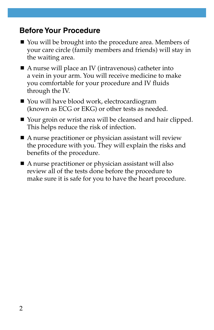#### **Before Your Procedure**

- You will be brought into the procedure area. Members of your care circle (family members and friends) will stay in the waiting area.
- A nurse will place an IV (intravenous) catheter into a vein in your arm. You will receive medicine to make you comfortable for your procedure and IV fluids through the IV.
- You will have blood work, electrocardiogram (known as ECG or EKG) or other tests as needed.
- Your groin or wrist area will be cleansed and hair clipped. This helps reduce the risk of infection.
- A nurse practitioner or physician assistant will review the procedure with you. They will explain the risks and benefits of the procedure.
- A nurse practitioner or physician assistant will also review all of the tests done before the procedure to make sure it is safe for you to have the heart procedure.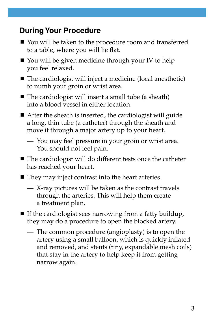#### **During Your Procedure**

- You will be taken to the procedure room and transferred to a table, where you will lie flat.
- You will be given medicine through your IV to help you feel relaxed.
- The cardiologist will inject a medicine (local anesthetic) to numb your groin or wrist area.
- $\blacksquare$  The cardiologist will insert a small tube (a sheath) into a blood vessel in either location.
- After the sheath is inserted, the cardiologist will guide a long, thin tube (a catheter) through the sheath and move it through a major artery up to your heart.
	- You may feel pressure in your groin or wrist area. You should not feel pain.
- The cardiologist will do different tests once the catheter has reached your heart.
- They may inject contrast into the heart arteries.
	- X-ray pictures will be taken as the contrast travels through the arteries. This will help them create a treatment plan.
- $\blacksquare$  If the cardiologist sees narrowing from a fatty buildup, they may do a procedure to open the blocked artery.
	- The common procedure (angioplasty) is to open the artery using a small balloon, which is quickly inflated and removed, and stents (tiny, expandable mesh coils) that stay in the artery to help keep it from getting narrow again.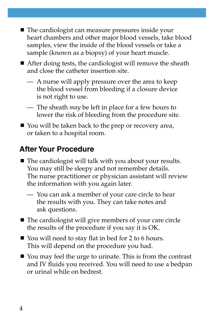- The cardiologist can measure pressures inside your heart chambers and other major blood vessels, take blood samples, view the inside of the blood vessels or take a sample (known as a biopsy) of your heart muscle.
- After doing tests, the cardiologist will remove the sheath and close the catheter insertion site.
	- A nurse will apply pressure over the area to keep the blood vessel from bleeding if a closure device is not right to use.
	- The sheath *may* be left in place for a few hours to lower the risk of bleeding from the procedure site.
- You will be taken back to the prep or recovery area, or taken to a hospital room.

## **After Your Procedure**

- $\blacksquare$  The cardiologist will talk with you about your results. You may still be sleepy and not remember details. The nurse practitioner or physician assistant will review the information with you again later.
	- You can ask a member of your care circle to hear the results with you. They can take notes and ask questions.
- The cardiologist will give members of your care circle the results of the procedure if you say it is OK.
- You will need to stay flat in bed for 2 to 6 hours. This will depend on the procedure you had.
- You may feel the urge to urinate. This is from the contrast and IV fluids you received. You will need to use a bedpan or urinal while on bedrest.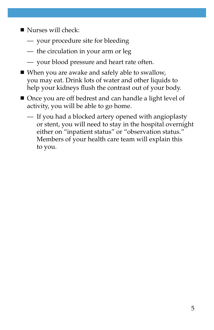- Nurses will check:
	- your procedure site for bleeding
	- the circulation in your arm or leg
	- your blood pressure and heart rate often.
- When you are awake and safely able to swallow, you may eat. Drink lots of water and other liquids to help your kidneys flush the contrast out of your body.
- Once you are off bedrest and can handle a light level of activity, you will be able to go home.
	- If you had a blocked artery opened with angioplasty or stent, you will need to stay in the hospital overnight either on "inpatient status" or "observation status." Members of your health care team will explain this to you.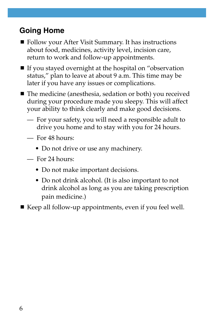## **Going Home**

- Follow your After Visit Summary. It has instructions about food, medicines, activity level, incision care, return to work and follow-up appointments.
- If you stayed overnight at the hospital on "observation status," plan to leave at about 9 a.m. This time may be later if you have any issues or complications.
- The medicine (anesthesia, sedation or both) you received during your procedure made you sleepy. This will affect your ability to think clearly and make good decisions.
	- For your safety, you will need a responsible adult to drive you home and to stay with you for 24 hours.
	- For 48 hours:
		- Do not drive or use any machinery.
	- For 24 hours:
		- Do not make important decisions.
		- Do not drink alcohol. (It is also important to not drink alcohol as long as you are taking prescription pain medicine.)

 $\blacksquare$  Keep all follow-up appointments, even if you feel well.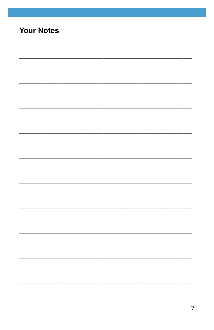# **Your Notes**

<u> 1990 - Jan James James James James James James James James James James James James James James James James</u>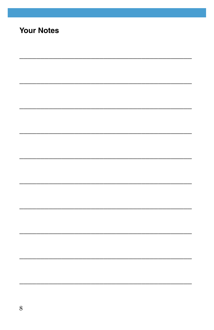# **Your Notes**

<u> 2001 - 2002 - 2003 - 2003 - 2003 - 2003 - 2003 - 2003 - 2003 - 2003 - 2004 - 2005 - 2008 - 2008 - 2008 - 200</u>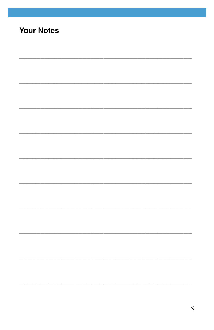# **Your Notes**

<u> 1950 - Johann John Stone, Amerikaansk politiker (\* 1950)</u>